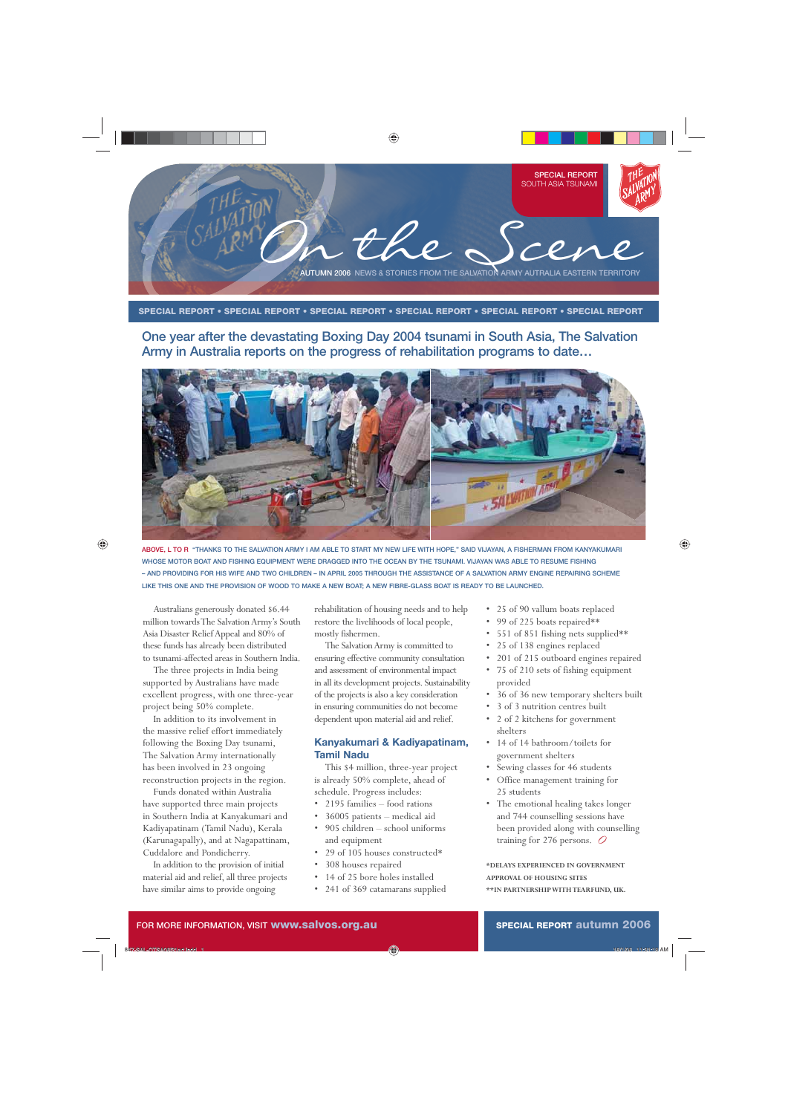

#### **SPECIAL REPORT • SPECIAL REPORT • SPECIAL REPORT • SPECIAL REPORT • SPECIAL REPORT • SPECIAL REPORT**

**One year after the devastating Boxing Day 2004 tsunami in South Asia, The Salvation Army in Australia reports on the progress of rehabilitation programs to date…**



**ABOVE, L TO R "THANKS TO THE SALVATION ARMY I AM ABLE TO START MY NEW LIFE WITH HOPE," SAID VIJAYAN, A FISHERMAN FROM KANYAKUMARI WHOSE MOTOR BOAT AND FISHING EQUIPMENT WERE DRAGGED INTO THE OCEAN BY THE TSUNAMI. VIJAYAN WAS ABLE TO RESUME FISHING – AND PROVIDING FOR HIS WIFE AND TWO CHILDREN – IN APRIL 2005 THROUGH THE ASSISTANCE OF A SALVATION ARMY ENGINE REPAIRING SCHEME LIKE THIS ONE AND THE PROVISION OF WOOD TO MAKE A NEW BOAT; A NEW FIBRE-GLASS BOAT IS READY TO BE LAUNCHED.**

Australians generously donated \$6.44 million towards The Salvation Army's South Asia Disaster Relief Appeal and 80% of these funds has already been distributed to tsunami-affected areas in Southern India.

The three projects in India being supported by Australians have made excellent progress, with one three-year project being 50% complete.

In addition to its involvement in the massive relief effort immediately following the Boxing Day tsunami, The Salvation Army internationally has been involved in 23 ongoing reconstruction projects in the region.

Funds donated within Australia have supported three main projects in Southern India at Kanyakumari and Kadiyapatinam (Tamil Nadu), Kerala (Karunagapally), and at Nagapattinam, Cuddalore and Pondicherry.

In addition to the provision of initial material aid and relief, all three projects have similar aims to provide ongoing

rehabilitation of housing needs and to help restore the livelihoods of local people, mostly fishermen.

The Salvation Army is committed to ensuring effective community consultation and assessment of environmental impact in all its development projects. Sustainability of the projects is also a key consideration in ensuring communities do not become dependent upon material aid and relief.

#### **Kanyakumari & Kadiyapatinam, Tamil Nadu**

This \$4 million, three-year project is already 50% complete, ahead of schedule. Progress includes:

- 2195 families food rations
- 36005 patients medical aid
- 905 children school uniforms and equipment
- 29 of 105 houses constructed\*
- 308 houses repaired
- 14 of 25 bore holes installed
- 241 of 369 catamarans supplied
- 25 of 90 vallum boats replaced
- 99 of 225 boats repaired\*\*
- 551 of 851 fishing nets supplied\*\*
- 25 of 138 engines replaced
- 201 of 215 outboard engines repaired
- 75 of 210 sets of fishing equipment provided
- 36 of 36 new temporary shelters built
- 3 of 3 nutrition centres built
- 2 of 2 kitchens for government shelters
- 14 of 14 bathroom/toilets for government shelters
- Sewing classes for 46 students
- Office management training for 25 students
- The emotional healing takes longer and 744 counselling sessions have been provided along with counselling training for 276 persons. *O*

#### **\*DELAYS EXPERIENCED IN GOVERNMENT APPROVAL OF HOUSING SITES**

**\*\*IN PARTNERSHIP WITH TEARFUND, UK.**